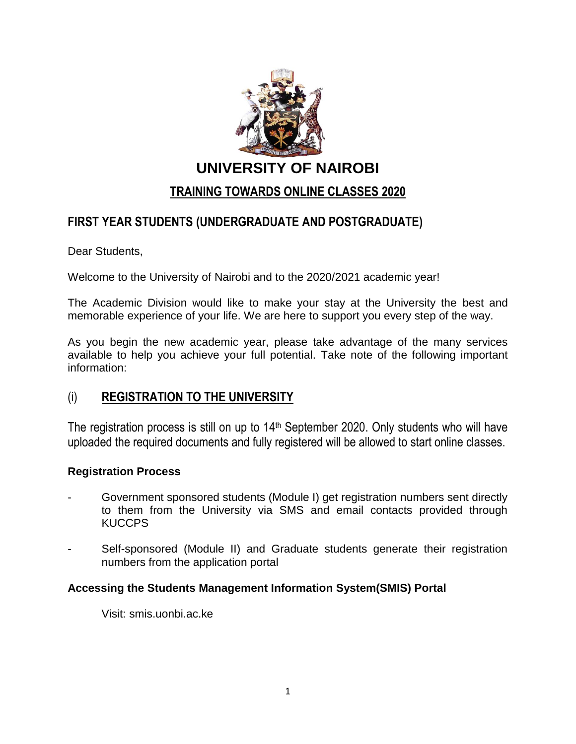

**UNIVERSITY OF NAIROBI**

# **TRAINING TOWARDS ONLINE CLASSES 2020**

# **FIRST YEAR STUDENTS (UNDERGRADUATE AND POSTGRADUATE)**

Dear Students,

Welcome to the University of Nairobi and to the 2020/2021 academic year!

The Academic Division would like to make your stay at the University the best and memorable experience of your life. We are here to support you every step of the way.

As you begin the new academic year, please take advantage of the many services available to help you achieve your full potential. Take note of the following important information:

### (i) **REGISTRATION TO THE UNIVERSITY**

The registration process is still on up to 14th September 2020. Only students who will have uploaded the required documents and fully registered will be allowed to start online classes.

#### **Registration Process**

- Government sponsored students (Module I) get registration numbers sent directly to them from the University via SMS and email contacts provided through KUCCPS
- Self-sponsored (Module II) and Graduate students generate their registration numbers from the application portal

#### **Accessing the Students Management Information System(SMIS) Portal**

Visit: smis.uonbi.ac.ke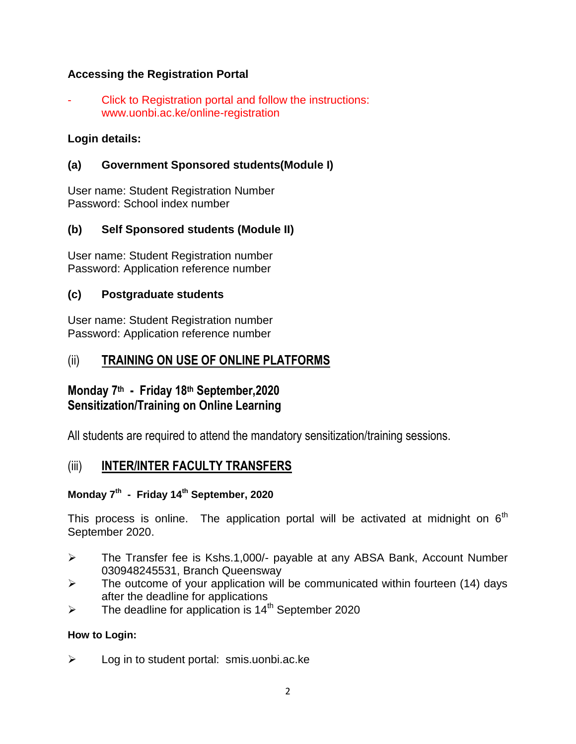### **Accessing the Registration Portal**

Click to Registration portal and follow the instructions: www.uonbi.ac.ke/online-registration

### **Login details:**

### **(a) Government Sponsored students(Module I)**

User name: Student Registration Number Password: School index number

### **(b) Self Sponsored students (Module II)**

User name: Student Registration number Password: Application reference number

#### **(c) Postgraduate students**

User name: Student Registration number Password: Application reference number

## (ii) **TRAINING ON USE OF ONLINE PLATFORMS**

# **Monday 7 th - Friday 18th September,2020 Sensitization/Training on Online Learning**

All students are required to attend the mandatory sensitization/training sessions.

### (iii) **INTER/INTER FACULTY TRANSFERS**

#### **Monday 7 th - Friday 14th September, 2020**

This process is online. The application portal will be activated at midnight on  $6<sup>th</sup>$ September 2020.

- The Transfer fee is Kshs.1,000/- payable at any ABSA Bank, Account Number 030948245531, Branch Queensway
- $\triangleright$  The outcome of your application will be communicated within fourteen (14) days after the deadline for applications
- $\triangleright$  The deadline for application is 14<sup>th</sup> September 2020

#### **How to Login:**

 $\triangleright$  Log in to student portal: smis.uonbi.ac.ke